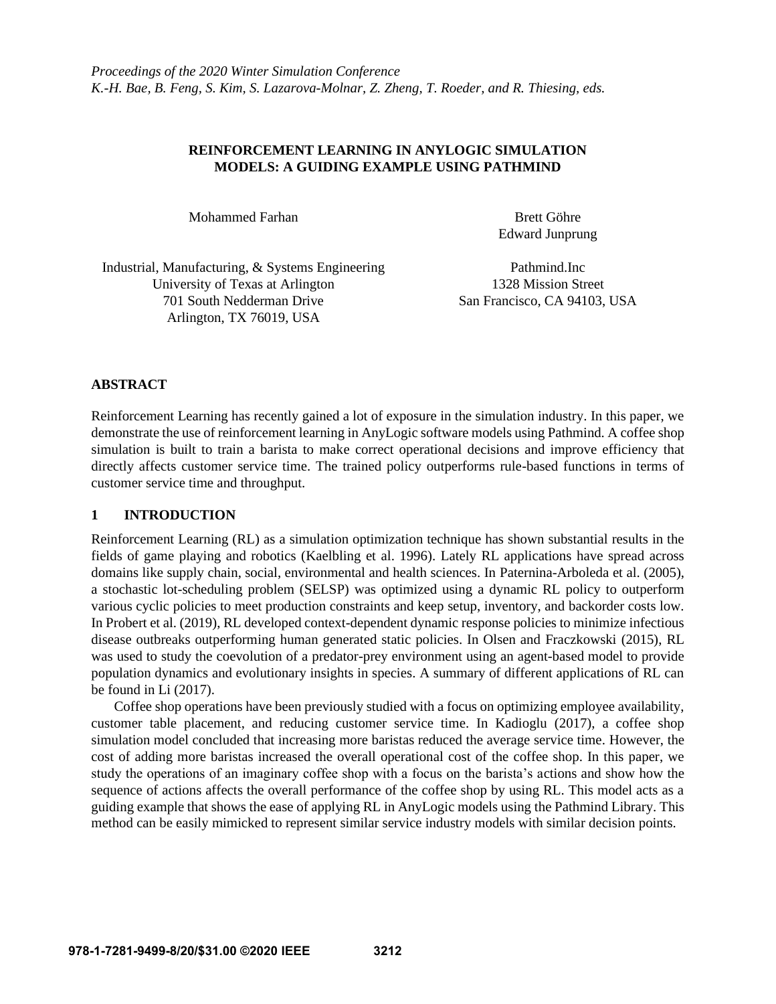# **REINFORCEMENT LEARNING IN ANYLOGIC SIMULATION MODELS: A GUIDING EXAMPLE USING PATHMIND**

Mohammed Farhan Brett Göhre

Edward Junprung

Industrial, Manufacturing, & Systems Engineering Pathmind.Inc University of Texas at Arlington 1328 Mission Street 701 South Nedderman Drive San Francisco, CA 94103, USA Arlington, TX 76019, USA

# **ABSTRACT**

Reinforcement Learning has recently gained a lot of exposure in the simulation industry. In this paper, we demonstrate the use of reinforcement learning in AnyLogic software models using Pathmind. A coffee shop simulation is built to train a barista to make correct operational decisions and improve efficiency that directly affects customer service time. The trained policy outperforms rule-based functions in terms of customer service time and throughput.

#### **1 INTRODUCTION**

Reinforcement Learning (RL) as a simulation optimization technique has shown substantial results in the fields of game playing and robotics (Kaelbling et al. 1996). Lately RL applications have spread across domains like supply chain, social, environmental and health sciences. In Paternina-Arboleda et al. (2005), a stochastic lot-scheduling problem (SELSP) was optimized using a dynamic RL policy to outperform various cyclic policies to meet production constraints and keep setup, inventory, and backorder costs low. In Probert et al. (2019), RL developed context-dependent dynamic response policies to minimize infectious disease outbreaks outperforming human generated static policies. In Olsen and Fraczkowski (2015), RL was used to study the coevolution of a predator-prey environment using an agent-based model to provide population dynamics and evolutionary insights in species. A summary of different applications of RL can be found in Li (2017).

Coffee shop operations have been previously studied with a focus on optimizing employee availability, customer table placement, and reducing customer service time. In Kadioglu (2017), a coffee shop simulation model concluded that increasing more baristas reduced the average service time. However, the cost of adding more baristas increased the overall operational cost of the coffee shop. In this paper, we study the operations of an imaginary coffee shop with a focus on the barista's actions and show how the sequence of actions affects the overall performance of the coffee shop by using RL. This model acts as a guiding example that shows the ease of applying RL in AnyLogic models using the Pathmind Library. This method can be easily mimicked to represent similar service industry models with similar decision points.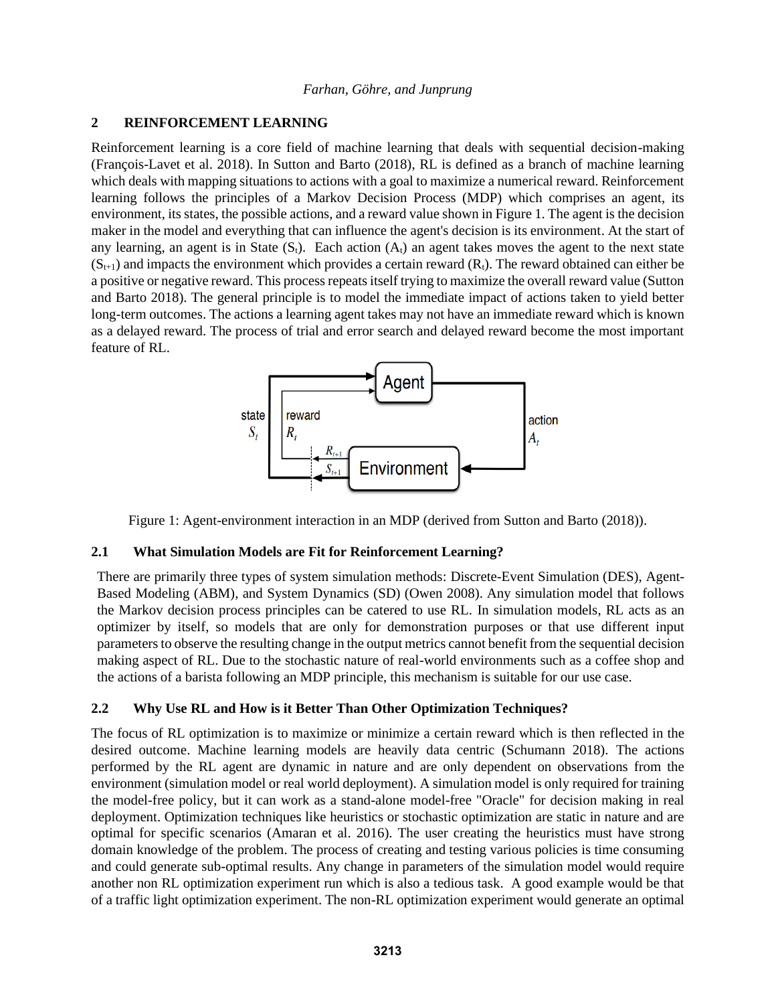# **2 REINFORCEMENT LEARNING**

Reinforcement learning is a core field of machine learning that deals with sequential decision-making (François-Lavet et al. 2018). In Sutton and Barto (2018), RL is defined as a branch of machine learning which deals with mapping situations to actions with a goal to maximize a numerical reward. Reinforcement learning follows the principles of a Markov Decision Process (MDP) which comprises an agent, its environment, its states, the possible actions, and a reward value shown in Figure 1. The agent is the decision maker in the model and everything that can influence the agent's decision is its environment. At the start of any learning, an agent is in State  $(S_t)$ . Each action  $(A_t)$  an agent takes moves the agent to the next state  $(S_{t+1})$  and impacts the environment which provides a certain reward  $(R_t)$ . The reward obtained can either be a positive or negative reward. This process repeats itself trying to maximize the overall reward value (Sutton and Barto 2018). The general principle is to model the immediate impact of actions taken to yield better long-term outcomes. The actions a learning agent takes may not have an immediate reward which is known as a delayed reward. The process of trial and error search and delayed reward become the most important feature of RL.



Figure 1: Agent-environment interaction in an MDP (derived from Sutton and Barto (2018)).

# **2.1 What Simulation Models are Fit for Reinforcement Learning?**

There are primarily three types of system simulation methods: Discrete-Event Simulation (DES), Agent-Based Modeling (ABM), and System Dynamics (SD) (Owen 2008). Any simulation model that follows the Markov decision process principles can be catered to use RL. In simulation models, RL acts as an optimizer by itself, so models that are only for demonstration purposes or that use different input parameters to observe the resulting change in the output metrics cannot benefit from the sequential decision making aspect of RL. Due to the stochastic nature of real-world environments such as a coffee shop and the actions of a barista following an MDP principle, this mechanism is suitable for our use case.

# **2.2 Why Use RL and How is it Better Than Other Optimization Techniques?**

The focus of RL optimization is to maximize or minimize a certain reward which is then reflected in the desired outcome. Machine learning models are heavily data centric (Schumann 2018). The actions performed by the RL agent are dynamic in nature and are only dependent on observations from the environment (simulation model or real world deployment). A simulation model is only required for training the model-free policy, but it can work as a stand-alone model-free "Oracle" for decision making in real deployment. Optimization techniques like heuristics or stochastic optimization are static in nature and are optimal for specific scenarios (Amaran et al. 2016). The user creating the heuristics must have strong domain knowledge of the problem. The process of creating and testing various policies is time consuming and could generate sub-optimal results. Any change in parameters of the simulation model would require another non RL optimization experiment run which is also a tedious task. A good example would be that of a traffic light optimization experiment. The non-RL optimization experiment would generate an optimal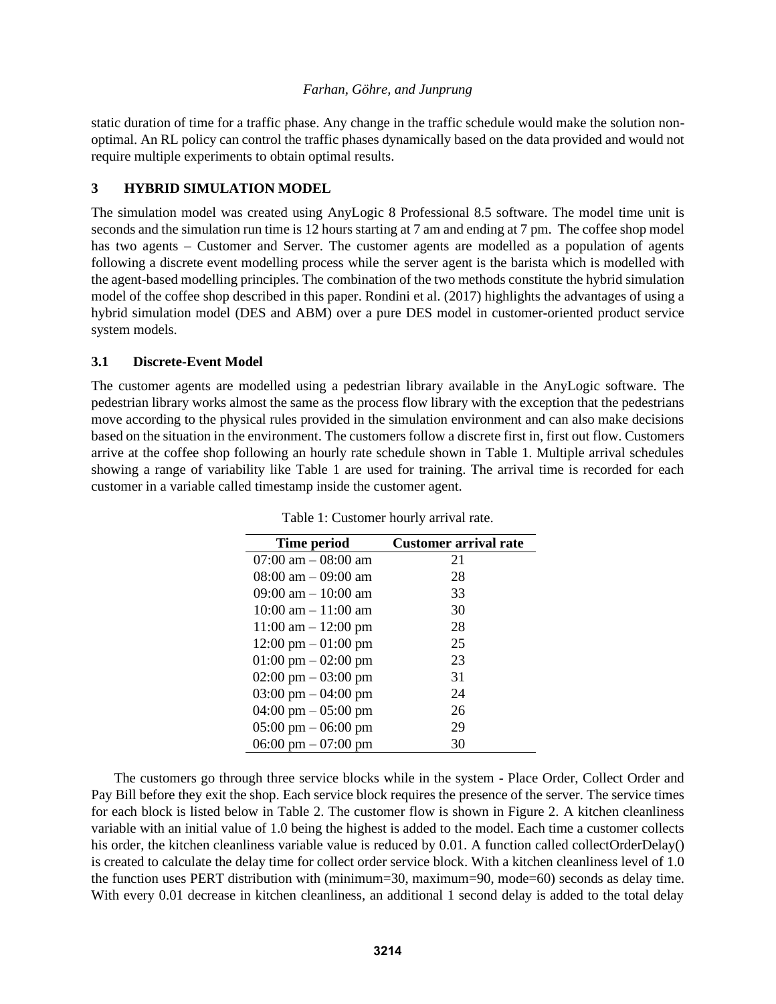static duration of time for a traffic phase. Any change in the traffic schedule would make the solution nonoptimal. An RL policy can control the traffic phases dynamically based on the data provided and would not require multiple experiments to obtain optimal results.

# **3 HYBRID SIMULATION MODEL**

The simulation model was created using AnyLogic 8 Professional 8.5 software. The model time unit is seconds and the simulation run time is 12 hours starting at 7 am and ending at 7 pm. The coffee shop model has two agents – Customer and Server. The customer agents are modelled as a population of agents following a discrete event modelling process while the server agent is the barista which is modelled with the agent-based modelling principles. The combination of the two methods constitute the hybrid simulation model of the coffee shop described in this paper. Rondini et al. (2017) highlights the advantages of using a hybrid simulation model (DES and ABM) over a pure DES model in customer-oriented product service system models.

# **3.1 Discrete-Event Model**

The customer agents are modelled using a pedestrian library available in the AnyLogic software. The pedestrian library works almost the same as the process flow library with the exception that the pedestrians move according to the physical rules provided in the simulation environment and can also make decisions based on the situation in the environment. The customers follow a discrete first in, first out flow. Customers arrive at the coffee shop following an hourly rate schedule shown in Table 1. Multiple arrival schedules showing a range of variability like Table 1 are used for training. The arrival time is recorded for each customer in a variable called timestamp inside the customer agent.

| <b>Time period</b>                    | <b>Customer arrival rate</b> |
|---------------------------------------|------------------------------|
| $07:00$ am $-08:00$ am                | 21                           |
| $08:00$ am $-09:00$ am                | 28                           |
| $09:00$ am $-10:00$ am                | 33                           |
| $10:00$ am $-11:00$ am                | 30                           |
| $11:00$ am $-12:00$ pm                | 28                           |
| $12:00 \text{ pm} - 01:00 \text{ pm}$ | 25                           |
| $01:00 \text{ pm} - 02:00 \text{ pm}$ | 23                           |
| $02:00 \text{ pm} - 03:00 \text{ pm}$ | 31                           |
| 03:00 pm $-$ 04:00 pm                 | 24                           |
| 04:00 pm $-$ 05:00 pm                 | 26                           |
| $05:00 \text{ pm} - 06:00 \text{ pm}$ | 29                           |
| 06:00 pm $-07:00$ pm                  | 30                           |

Table 1: Customer hourly arrival rate.

The customers go through three service blocks while in the system - Place Order, Collect Order and Pay Bill before they exit the shop. Each service block requires the presence of the server. The service times for each block is listed below in Table 2. The customer flow is shown in Figure 2. A kitchen cleanliness variable with an initial value of 1.0 being the highest is added to the model. Each time a customer collects his order, the kitchen cleanliness variable value is reduced by 0.01. A function called collectOrderDelay() is created to calculate the delay time for collect order service block. With a kitchen cleanliness level of 1.0 the function uses PERT distribution with (minimum=30, maximum=90, mode=60) seconds as delay time. With every 0.01 decrease in kitchen cleanliness, an additional 1 second delay is added to the total delay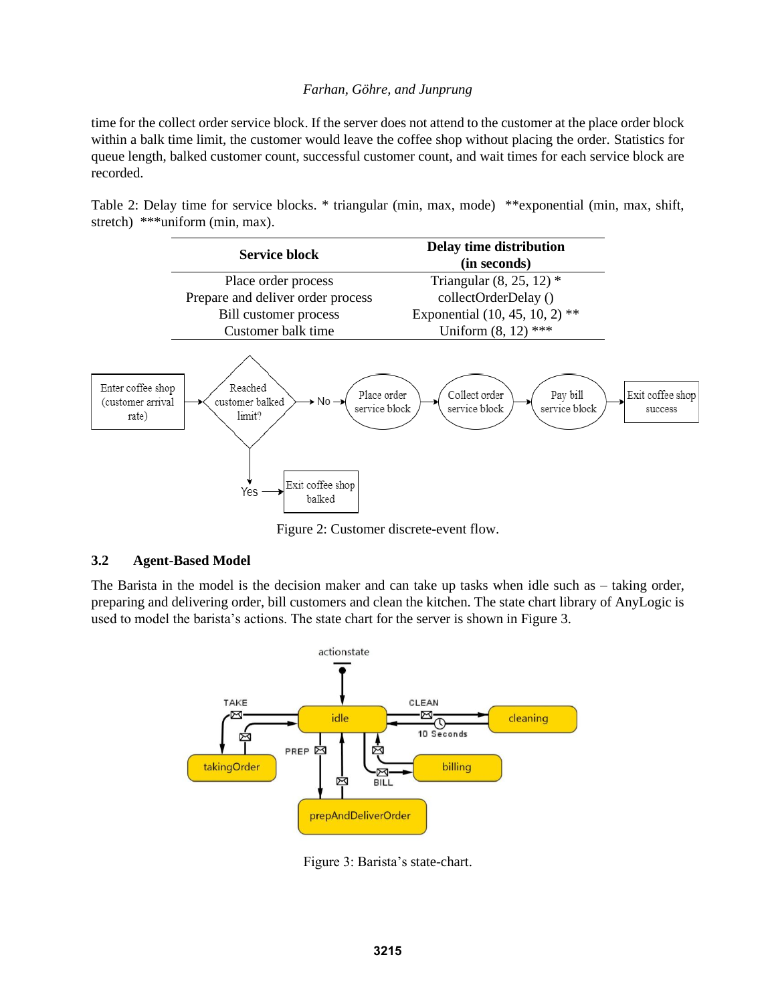time for the collect order service block. If the server does not attend to the customer at the place order block within a balk time limit, the customer would leave the coffee shop without placing the order. Statistics for queue length, balked customer count, successful customer count, and wait times for each service block are recorded.

Table 2: Delay time for service blocks. \* triangular (min, max, mode) \*\*exponential (min, max, shift, stretch) \*\*\*uniform (min, max).



Figure 2: Customer discrete-event flow.

### **3.2 Agent-Based Model**

The Barista in the model is the decision maker and can take up tasks when idle such as – taking order, preparing and delivering order, bill customers and clean the kitchen. The state chart library of AnyLogic is used to model the barista's actions. The state chart for the server is shown in Figure 3.



Figure 3: Barista's state-chart.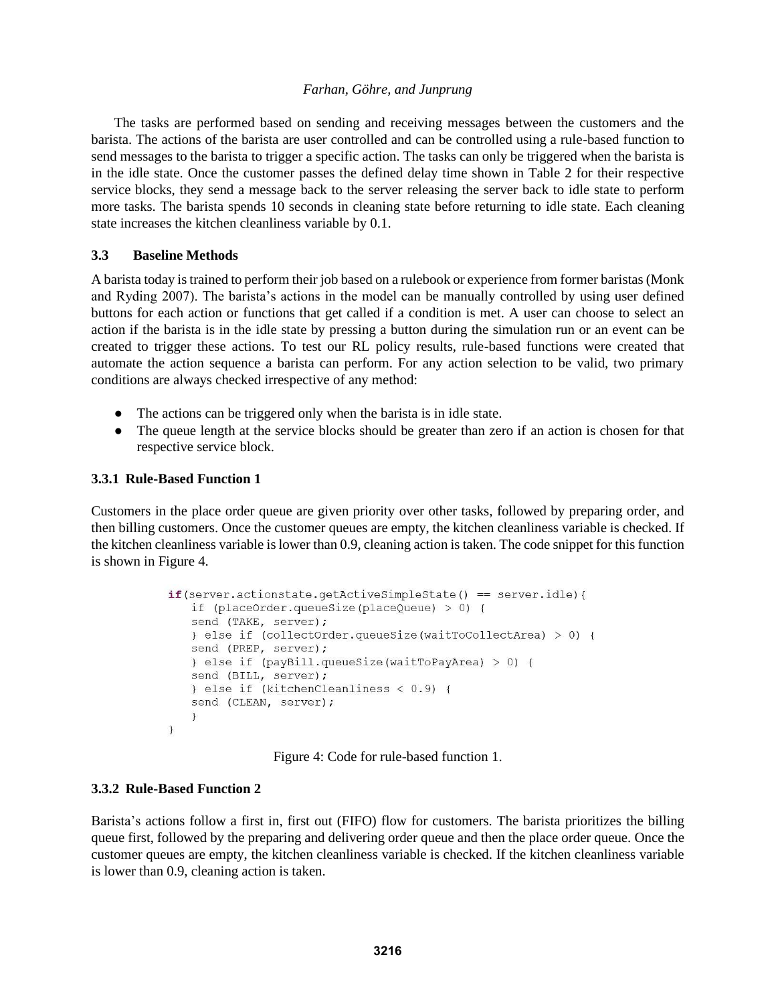The tasks are performed based on sending and receiving messages between the customers and the barista. The actions of the barista are user controlled and can be controlled using a rule-based function to send messages to the barista to trigger a specific action. The tasks can only be triggered when the barista is in the idle state. Once the customer passes the defined delay time shown in Table 2 for their respective service blocks, they send a message back to the server releasing the server back to idle state to perform more tasks. The barista spends 10 seconds in cleaning state before returning to idle state. Each cleaning state increases the kitchen cleanliness variable by 0.1.

# **3.3 Baseline Methods**

A barista today is trained to perform their job based on a rulebook or experience from former baristas (Monk and Ryding 2007). The barista's actions in the model can be manually controlled by using user defined buttons for each action or functions that get called if a condition is met. A user can choose to select an action if the barista is in the idle state by pressing a button during the simulation run or an event can be created to trigger these actions. To test our RL policy results, rule-based functions were created that automate the action sequence a barista can perform. For any action selection to be valid, two primary conditions are always checked irrespective of any method:

- The actions can be triggered only when the barista is in idle state.
- The queue length at the service blocks should be greater than zero if an action is chosen for that respective service block.

# **3.3.1 Rule-Based Function 1**

Customers in the place order queue are given priority over other tasks, followed by preparing order, and then billing customers. Once the customer queues are empty, the kitchen cleanliness variable is checked. If the kitchen cleanliness variable is lower than 0.9, cleaning action is taken. The code snippet for this function is shown in Figure 4.

```
if(server.actionstate.getActiveSimpleState() == server.idle){
   if (placeOrder.queueSize(placeQueue) > 0) {
   send (TAKE, server);
   } else if (collectOrder.queueSize(waitToCollectArea) > 0) {
   send (PREP, server);
   } else if (payBill.queueSize(waitToPayArea) > 0) {
   send (BILL, server);
   } else if (kitchenCleanliness < 0.9) {
   send (CLEAN, server);
   \rightarrow\mathcal{F}
```
Figure 4: Code for rule-based function 1.

# **3.3.2 Rule-Based Function 2**

Barista's actions follow a first in, first out (FIFO) flow for customers. The barista prioritizes the billing queue first, followed by the preparing and delivering order queue and then the place order queue. Once the customer queues are empty, the kitchen cleanliness variable is checked. If the kitchen cleanliness variable is lower than 0.9, cleaning action is taken.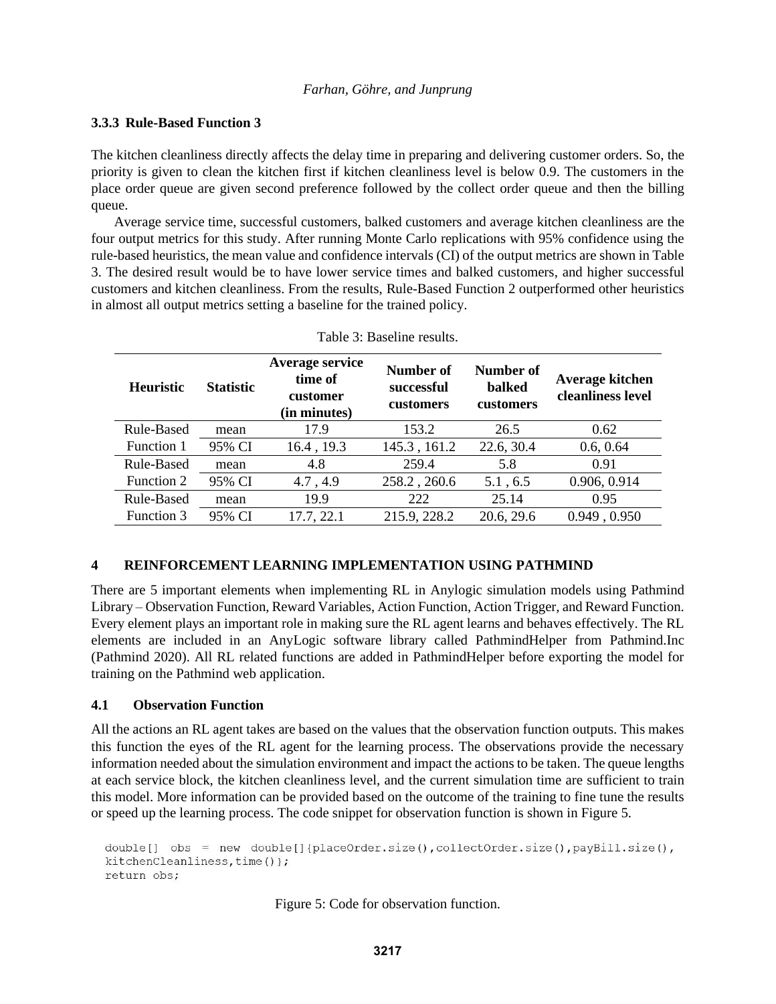### **3.3.3 Rule-Based Function 3**

The kitchen cleanliness directly affects the delay time in preparing and delivering customer orders. So, the priority is given to clean the kitchen first if kitchen cleanliness level is below 0.9. The customers in the place order queue are given second preference followed by the collect order queue and then the billing queue.

Average service time, successful customers, balked customers and average kitchen cleanliness are the four output metrics for this study. After running Monte Carlo replications with 95% confidence using the rule-based heuristics, the mean value and confidence intervals (CI) of the output metrics are shown in Table 3. The desired result would be to have lower service times and balked customers, and higher successful customers and kitchen cleanliness. From the results, Rule-Based Function 2 outperformed other heuristics in almost all output metrics setting a baseline for the trained policy.

| Table 5. Daschile fesuits. |                  |                                                        |                                      |                                         |                                      |
|----------------------------|------------------|--------------------------------------------------------|--------------------------------------|-----------------------------------------|--------------------------------------|
| <b>Heuristic</b>           | <b>Statistic</b> | Average service<br>time of<br>customer<br>(in minutes) | Number of<br>successful<br>customers | Number of<br><b>balked</b><br>customers | Average kitchen<br>cleanliness level |
| Rule-Based                 | mean             | 17.9                                                   | 153.2                                | 26.5                                    | 0.62                                 |
| Function 1                 | 95% CI           | 16.4, 19.3                                             | 145.3, 161.2                         | 22.6, 30.4                              | 0.6, 0.64                            |
| Rule-Based                 | mean             | 4.8                                                    | 259.4                                | 5.8                                     | 0.91                                 |
| Function 2                 | 95% CI           | 4.7, 4.9                                               | 258.2, 260.6                         | 5.1, 6.5                                | 0.906, 0.914                         |
| Rule-Based                 | mean             | 19.9                                                   | 222                                  | 25.14                                   | 0.95                                 |
| Function 3                 | 95% CI           | 17.7, 22.1                                             | 215.9, 228.2                         | 20.6, 29.6                              | 0.949, 0.950                         |

| Table 3: Baseline results. |  |
|----------------------------|--|
|----------------------------|--|

# **4 REINFORCEMENT LEARNING IMPLEMENTATION USING PATHMIND**

There are 5 important elements when implementing RL in Anylogic simulation models using Pathmind Library – Observation Function, Reward Variables, Action Function, Action Trigger, and Reward Function. Every element plays an important role in making sure the RL agent learns and behaves effectively. The RL elements are included in an AnyLogic software library called PathmindHelper from Pathmind.Inc (Pathmind 2020). All RL related functions are added in PathmindHelper before exporting the model for training on the Pathmind web application.

# **4.1 Observation Function**

All the actions an RL agent takes are based on the values that the observation function outputs. This makes this function the eyes of the RL agent for the learning process. The observations provide the necessary information needed about the simulation environment and impact the actions to be taken. The queue lengths at each service block, the kitchen cleanliness level, and the current simulation time are sufficient to train this model. More information can be provided based on the outcome of the training to fine tune the results or speed up the learning process. The code snippet for observation function is shown in Figure 5.

```
double[] obs = new double[]{placeOrder.size(),collectOrder.size(),payBill.size(),
kitchenCleanliness, time() };
return obs;
```
Figure 5: Code for observation function.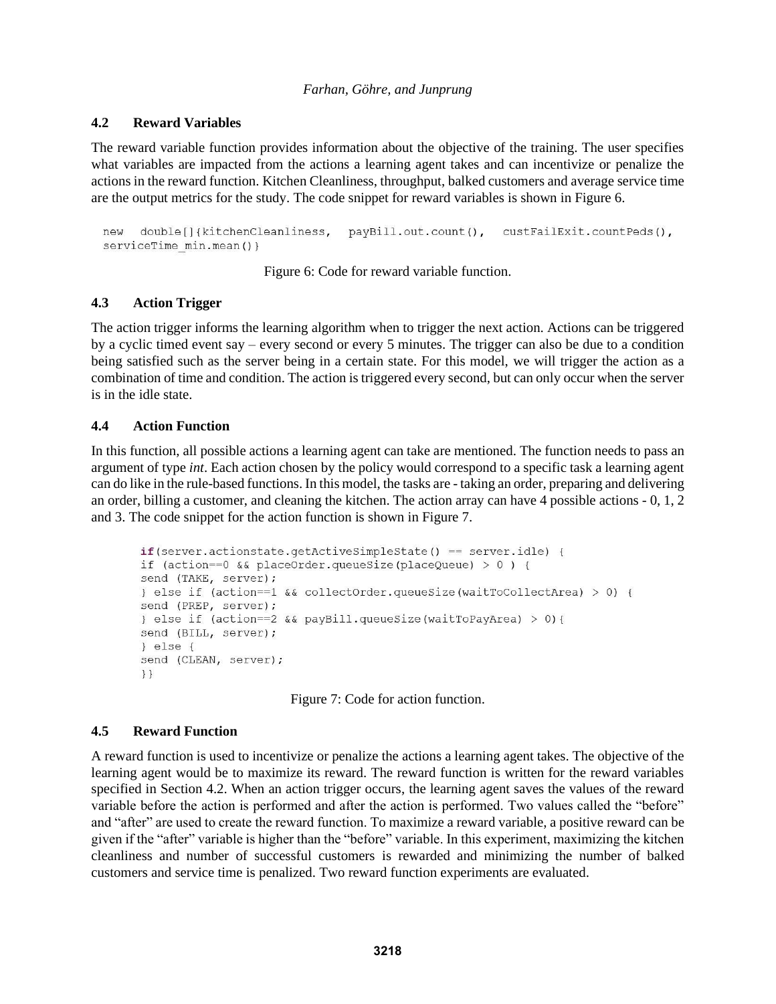### **4.2 Reward Variables**

The reward variable function provides information about the objective of the training. The user specifies what variables are impacted from the actions a learning agent takes and can incentivize or penalize the actions in the reward function. Kitchen Cleanliness, throughput, balked customers and average service time are the output metrics for the study. The code snippet for reward variables is shown in Figure 6.

```
double[]{kitchenCleanliness, payBill.out.count(), custFailExit.countPeds(),
new
serviceTime min.mean() }
```
Figure 6: Code for reward variable function.

# **4.3 Action Trigger**

The action trigger informs the learning algorithm when to trigger the next action. Actions can be triggered by a cyclic timed event say – every second or every 5 minutes. The trigger can also be due to a condition being satisfied such as the server being in a certain state. For this model, we will trigger the action as a combination of time and condition. The action is triggered every second, but can only occur when the server is in the idle state.

# **4.4 Action Function**

In this function, all possible actions a learning agent can take are mentioned. The function needs to pass an argument of type *int*. Each action chosen by the policy would correspond to a specific task a learning agent can do like in the rule-based functions. In this model, the tasks are - taking an order, preparing and delivering an order, billing a customer, and cleaning the kitchen. The action array can have 4 possible actions - 0, 1, 2 and 3. The code snippet for the action function is shown in Figure 7.

```
if(server.actionstate.getActiveSimpleState() == server.idle) {
if (action==0 && placeOrder.queueSize(placeQueue) > 0 ) {
send (TAKE, server);
} else if (action==1 && collectOrder.queueSize(waitToCollectArea) > 0) {
send (PREP, server);
} else if (action==2 && payBill.queueSize(waitToPayArea) > 0){
send (BILL, server);
\} else {
send (CLEAN, server);
\}
```
Figure 7: Code for action function.

# **4.5 Reward Function**

A reward function is used to incentivize or penalize the actions a learning agent takes. The objective of the learning agent would be to maximize its reward. The reward function is written for the reward variables specified in Section 4.2. When an action trigger occurs, the learning agent saves the values of the reward variable before the action is performed and after the action is performed. Two values called the "before" and "after" are used to create the reward function. To maximize a reward variable, a positive reward can be given if the "after" variable is higher than the "before" variable. In this experiment, maximizing the kitchen cleanliness and number of successful customers is rewarded and minimizing the number of balked customers and service time is penalized. Two reward function experiments are evaluated.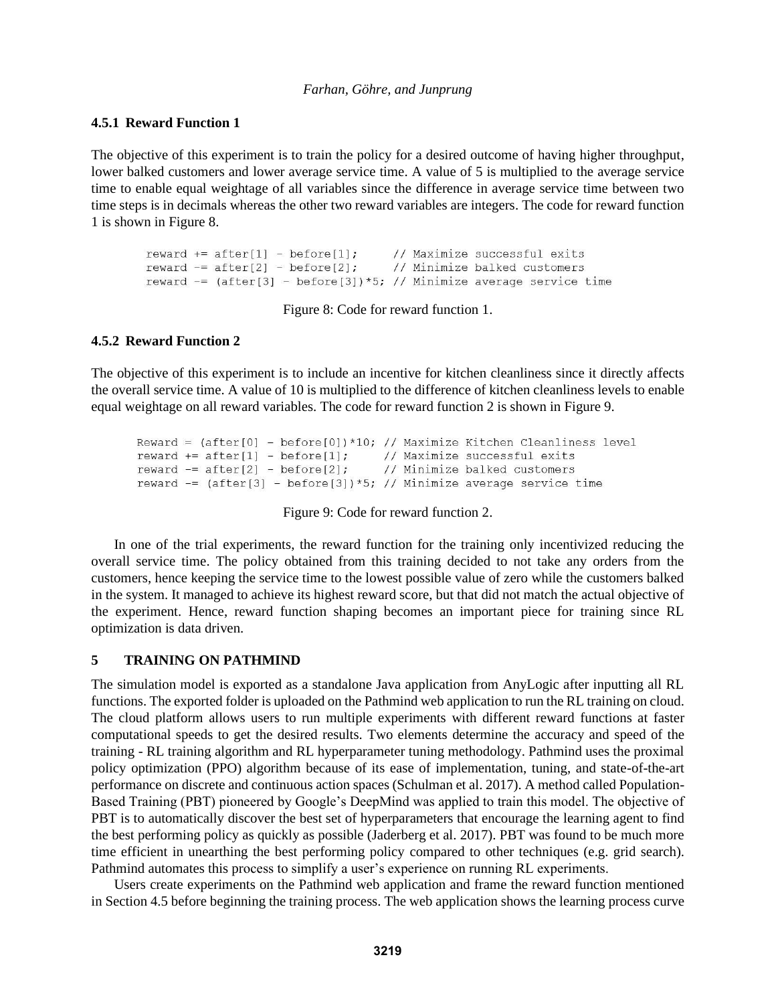#### **4.5.1 Reward Function 1**

The objective of this experiment is to train the policy for a desired outcome of having higher throughput, lower balked customers and lower average service time. A value of 5 is multiplied to the average service time to enable equal weightage of all variables since the difference in average service time between two time steps is in decimals whereas the other two reward variables are integers. The code for reward function 1 is shown in Figure 8.

```
// Maximize successful exits
reward += after[1] - before[1];
reward - after[2] - before[2];
                                  // Minimize balked customers
reward = (after[3] - before[3]) *5; // Minimize average service time
```
Figure 8: Code for reward function 1.

# **4.5.2 Reward Function 2**

The objective of this experiment is to include an incentive for kitchen cleanliness since it directly affects the overall service time. A value of 10 is multiplied to the difference of kitchen cleanliness levels to enable equal weightage on all reward variables. The code for reward function 2 is shown in Figure 9.

```
Reward = (after[0] - before[0]) * 10; // Maximize Kitchen Cleanlines levelreward += after[1] - before[1]; // Maximize successful exits
reward - after[2] - before[2];
                                  // Minimize balked customers
reward - (after[3] - before[3])*5; // Minimize average service time
```
Figure 9: Code for reward function 2.

In one of the trial experiments, the reward function for the training only incentivized reducing the overall service time. The policy obtained from this training decided to not take any orders from the customers, hence keeping the service time to the lowest possible value of zero while the customers balked in the system. It managed to achieve its highest reward score, but that did not match the actual objective of the experiment. Hence, reward function shaping becomes an important piece for training since RL optimization is data driven.

#### **5 TRAINING ON PATHMIND**

The simulation model is exported as a standalone Java application from AnyLogic after inputting all RL functions. The exported folder is uploaded on the Pathmind web application to run the RL training on cloud. The cloud platform allows users to run multiple experiments with different reward functions at faster computational speeds to get the desired results. Two elements determine the accuracy and speed of the training - RL training algorithm and RL hyperparameter tuning methodology. Pathmind uses the proximal policy optimization (PPO) algorithm because of its ease of implementation, tuning, and state-of-the-art performance on discrete and continuous action spaces (Schulman et al. 2017). A method called Population-Based Training (PBT) pioneered by Google's DeepMind was applied to train this model. The objective of PBT is to automatically discover the best set of hyperparameters that encourage the learning agent to find the best performing policy as quickly as possible (Jaderberg et al. 2017). PBT was found to be much more time efficient in unearthing the best performing policy compared to other techniques (e.g. grid search). Pathmind automates this process to simplify a user's experience on running RL experiments.

Users create experiments on the Pathmind web application and frame the reward function mentioned in Section 4.5 before beginning the training process. The web application shows the learning process curve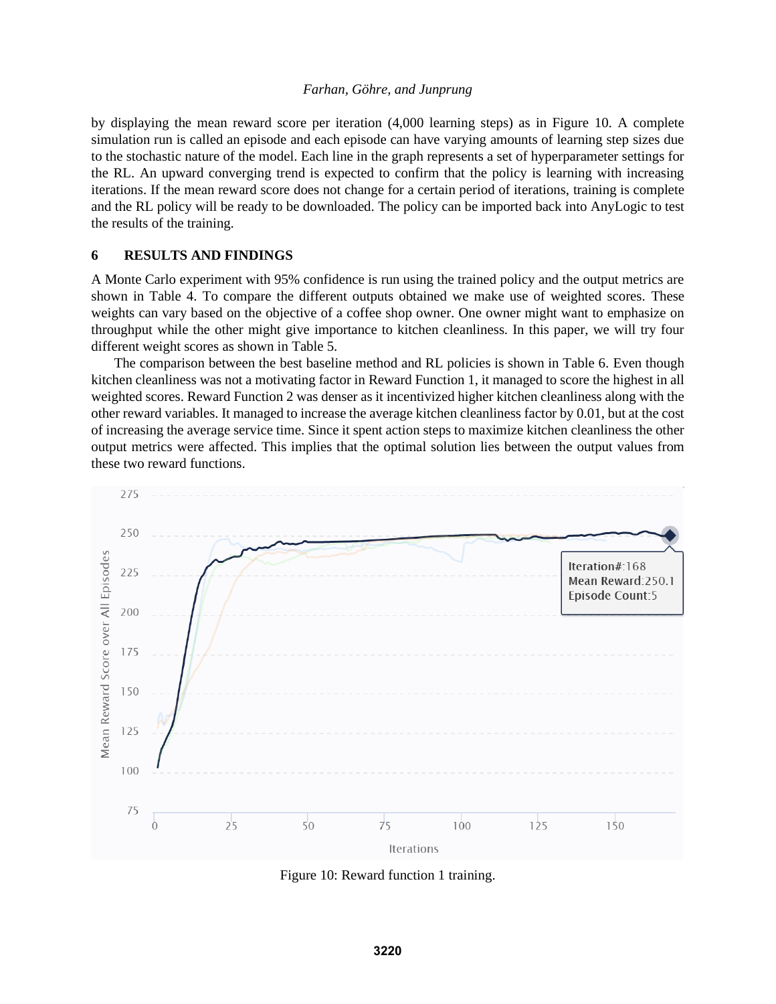by displaying the mean reward score per iteration (4,000 learning steps) as in Figure 10. A complete simulation run is called an episode and each episode can have varying amounts of learning step sizes due to the stochastic nature of the model. Each line in the graph represents a set of hyperparameter settings for the RL. An upward converging trend is expected to confirm that the policy is learning with increasing iterations. If the mean reward score does not change for a certain period of iterations, training is complete and the RL policy will be ready to be downloaded. The policy can be imported back into AnyLogic to test the results of the training.

#### **6 RESULTS AND FINDINGS**

A Monte Carlo experiment with 95% confidence is run using the trained policy and the output metrics are shown in Table 4. To compare the different outputs obtained we make use of weighted scores. These weights can vary based on the objective of a coffee shop owner. One owner might want to emphasize on throughput while the other might give importance to kitchen cleanliness. In this paper, we will try four different weight scores as shown in Table 5.

The comparison between the best baseline method and RL policies is shown in Table 6. Even though kitchen cleanliness was not a motivating factor in Reward Function 1, it managed to score the highest in all weighted scores. Reward Function 2 was denser as it incentivized higher kitchen cleanliness along with the other reward variables. It managed to increase the average kitchen cleanliness factor by 0.01, but at the cost of increasing the average service time. Since it spent action steps to maximize kitchen cleanliness the other output metrics were affected. This implies that the optimal solution lies between the output values from these two reward functions.



Figure 10: Reward function 1 training.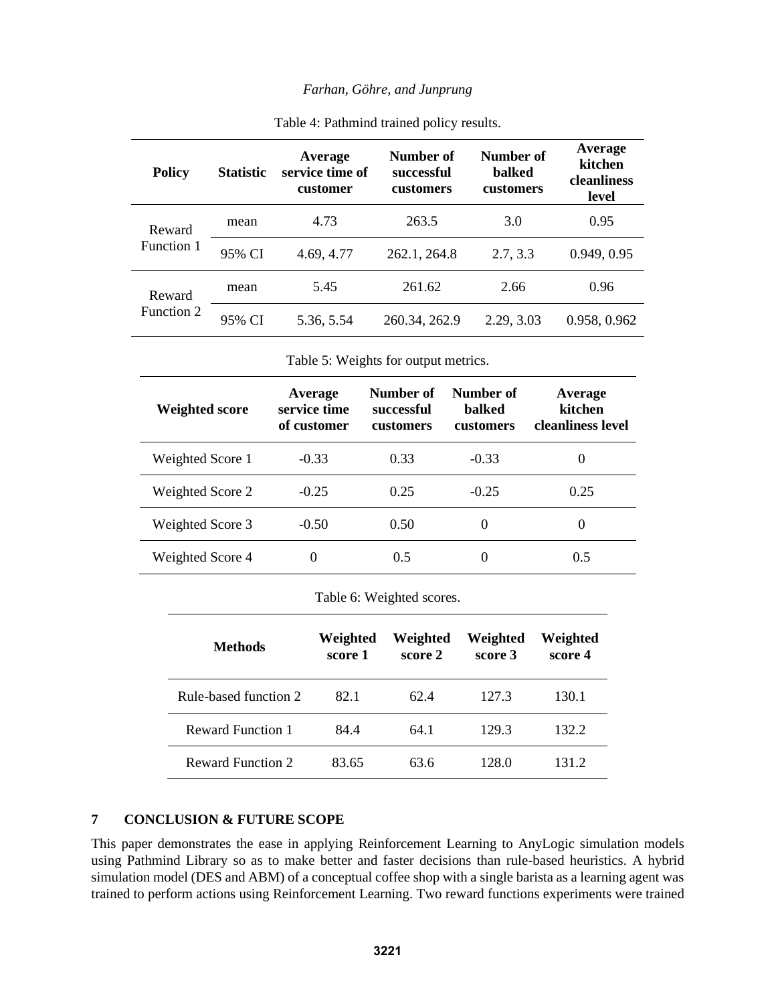| <b>Policy</b>        | <b>Statistic</b> | Average<br>service time of<br>customer | Number of<br>successful<br>customers | Number of<br><b>balked</b><br>customers | Average<br>kitchen<br>cleanliness<br>level |
|----------------------|------------------|----------------------------------------|--------------------------------------|-----------------------------------------|--------------------------------------------|
| Reward<br>Function 1 | mean             | 4.73                                   | 263.5                                | 3.0                                     | 0.95                                       |
|                      | 95% CI           | 4.69, 4.77                             | 262.1, 264.8                         | 2.7, 3.3                                | 0.949, 0.95                                |
| Reward<br>Function 2 | mean             | 5.45                                   | 261.62                               | 2.66                                    | 0.96                                       |
|                      | 95% CI           | 5.36, 5.54                             | 260.34, 262.9                        | 2.29, 3.03                              | 0.958, 0.962                               |

Table 5: Weights for output metrics.

| <b>Weighted score</b> | Average<br>service time<br>of customer | Number of<br>successful<br><b>customers</b> | Number of<br><b>balked</b><br><b>customers</b> | Average<br>kitchen<br>cleanliness level |
|-----------------------|----------------------------------------|---------------------------------------------|------------------------------------------------|-----------------------------------------|
| Weighted Score 1      | $-0.33$                                | 0.33                                        | $-0.33$                                        | $\theta$                                |
| Weighted Score 2      | $-0.25$                                | 0.25                                        | $-0.25$                                        | 0.25                                    |
| Weighted Score 3      | $-0.50$                                | 0.50                                        | $\theta$                                       | $\theta$                                |
| Weighted Score 4      | $\theta$                               | 0.5                                         | $\Omega$                                       | 0.5                                     |

|  | Table 6: Weighted scores. |  |
|--|---------------------------|--|
|--|---------------------------|--|

| <b>Methods</b>           | Weighted<br>score 1 | Weighted<br>score 2 | Weighted<br>score 3 | Weighted<br>score 4 |
|--------------------------|---------------------|---------------------|---------------------|---------------------|
| Rule-based function 2    | 82.1                | 62.4                | 127.3               | 130.1               |
| <b>Reward Function 1</b> | 84.4                | 64.1                | 129.3               | 132.2               |
| <b>Reward Function 2</b> | 83.65               | 63.6                | 128.0               | 131 2.              |

# **7 CONCLUSION & FUTURE SCOPE**

This paper demonstrates the ease in applying Reinforcement Learning to AnyLogic simulation models using Pathmind Library so as to make better and faster decisions than rule-based heuristics. A hybrid simulation model (DES and ABM) of a conceptual coffee shop with a single barista as a learning agent was trained to perform actions using Reinforcement Learning. Two reward functions experiments were trained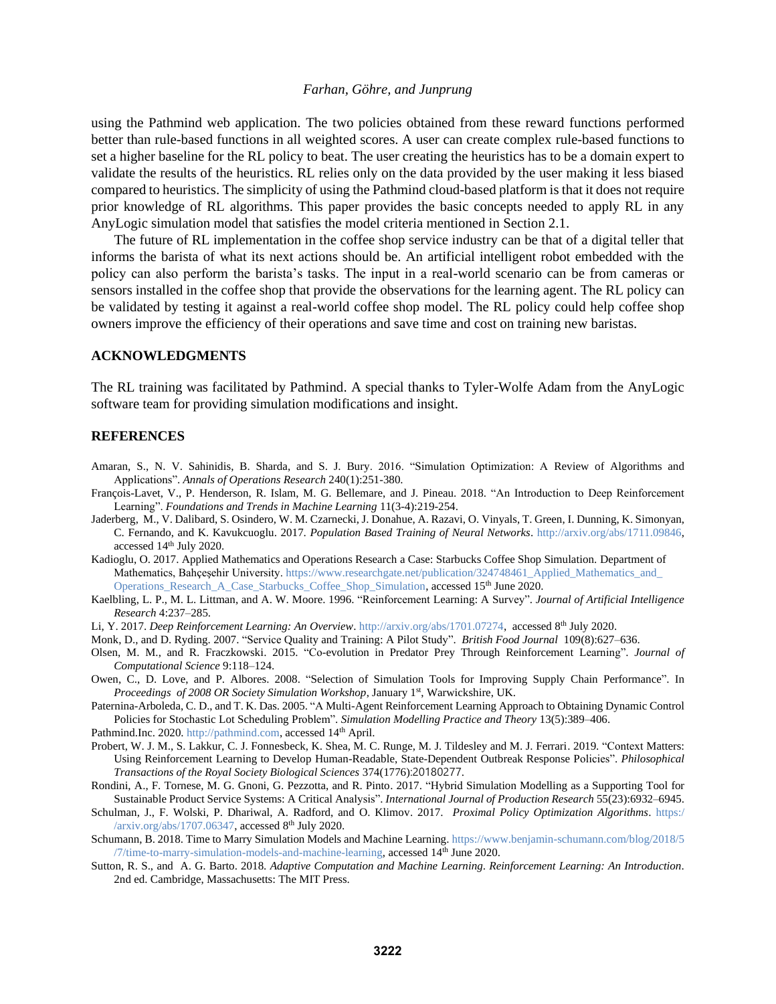using the Pathmind web application. The two policies obtained from these reward functions performed better than rule-based functions in all weighted scores. A user can create complex rule-based functions to set a higher baseline for the RL policy to beat. The user creating the heuristics has to be a domain expert to validate the results of the heuristics. RL relies only on the data provided by the user making it less biased compared to heuristics. The simplicity of using the Pathmind cloud-based platform is that it does not require prior knowledge of RL algorithms. This paper provides the basic concepts needed to apply RL in any AnyLogic simulation model that satisfies the model criteria mentioned in Section 2.1.

The future of RL implementation in the coffee shop service industry can be that of a digital teller that informs the barista of what its next actions should be. An artificial intelligent robot embedded with the policy can also perform the barista's tasks. The input in a real-world scenario can be from cameras or sensors installed in the coffee shop that provide the observations for the learning agent. The RL policy can be validated by testing it against a real-world coffee shop model. The RL policy could help coffee shop owners improve the efficiency of their operations and save time and cost on training new baristas.

#### **ACKNOWLEDGMENTS**

The RL training was facilitated by Pathmind. A special thanks to Tyler-Wolfe Adam from the AnyLogic software team for providing simulation modifications and insight.

#### **REFERENCES**

- Amaran, S., N. V. Sahinidis, B. Sharda, and S. J. Bury. 2016. "Simulation Optimization: A Review of Algorithms and Applications". *Annals of Operations Research* 240(1):251-380.
- François-Lavet, V., P. Henderson, R. Islam, M. G. Bellemare, and J. Pineau. 2018. "An Introduction to Deep Reinforcement Learning". *Foundations and Trends in Machine Learning* 11(3-4):219-254.
- Jaderberg, M., V. Dalibard, S. Osindero, W. M. Czarnecki, J. Donahue, A. Razavi, O. Vinyals, T. Green, I. Dunning, K. Simonyan, C. Fernando, and K. Kavukcuoglu. 2017. *Population Based Training of Neural Networks*. [http://arxiv.org/abs/1711.09846,](http://arxiv.org/abs/1711.09846) accessed 14th July 2020.
- Kadioglu, O. 2017. Applied Mathematics and Operations Research a Case: Starbucks Coffee Shop Simulation. Department of Mathematics, Bahçeşehir University. [https://www.researchgate.net/publication/324748461\\_Applied\\_Mathematics\\_and\\_](https://www.researchgate.net/publication/324748461_Applied_Mathematics_and_Operations_Research_A_Case_Starbucks_Coffee_Shop_Simulation) [Operations\\_Research\\_A\\_Case\\_Starbucks\\_Coffee\\_Shop\\_Simulation,](https://www.researchgate.net/publication/324748461_Applied_Mathematics_and_Operations_Research_A_Case_Starbucks_Coffee_Shop_Simulation) accessed 15th June 2020.
- Kaelbling, L. P., M. L. Littman, and A. W. Moore. 1996. "Reinforcement Learning: A Survey". *Journal of Artificial Intelligence Research* 4:237–285.
- Li, Y. 2017. *Deep Reinforcement Learning: An Overview*[. http://arxiv.org/abs/1701.07274,](http://arxiv.org/abs/1701.07274) accessed 8<sup>th</sup> July 2020.
- Monk, D., and D. Ryding. 2007. "Service Quality and Training: A Pilot Study". *British Food Journal* 109(8):627–636.
- Olsen, M. M., and R. Fraczkowski. 2015. "Co-evolution in Predator Prey Through Reinforcement Learning". *Journal of Computational Science* 9:118–124.
- Owen, C., D. Love, and P. Albores. 2008. "Selection of Simulation Tools for Improving Supply Chain Performance". In Proceedings of 2008 OR Society Simulation Workshop, January 1<sup>st</sup>, Warwickshire, UK.
- Paternina-Arboleda, C. D., and T. K. Das. 2005. "A Multi-Agent Reinforcement Learning Approach to Obtaining Dynamic Control Policies for Stochastic Lot Scheduling Problem". *Simulation Modelling Practice and Theory* 13(5):389–406.
- Pathmind.Inc. 2020[. http://pathmind.com,](http://pathmind.com/) accessed 14<sup>th</sup> April.
- Probert, W. J. M., S. Lakkur, C. J. Fonnesbeck, K. Shea, M. C. Runge, M. J. Tildesley and M. J. Ferrari. 2019. "Context Matters: Using Reinforcement Learning to Develop Human-Readable, State-Dependent Outbreak Response Policies". *Philosophical Transactions of the Royal Society Biological Sciences* 374(1776):20180277.
- Rondini, A., F. Tornese, M. G. Gnoni, G. Pezzotta, and R. Pinto. 2017. "Hybrid Simulation Modelling as a Supporting Tool for Sustainable Product Service Systems: A Critical Analysis". *International Journal of Production Research* 55(23):6932–6945.
- Schulman, J., F. Wolski, P. Dhariwal, A. Radford, and O. Klimov. 2017. *Proximal Policy Optimization Algorithms*. [https:/](https://arxiv.org/abs/1707.06347) [/arxiv.org/abs/1707.06347,](https://arxiv.org/abs/1707.06347) accessed 8<sup>th</sup> July 2020.
- Schumann, B. 2018. Time to Marry Simulation Models and Machine Learning[. https://www.benjamin-schumann.com/blog/2018/5](https://www.benjamin-schumann.com/blog/2018/5/7/time-to-marry-simulation-models-and-machine-learning)  $/7$ /time-to-marry-simulation-models-and-machine-learning, accessed  $14<sup>th</sup>$  June 2020.
- Sutton, R. S., and A. G. Barto. 2018. *Adaptive Computation and Machine Learning*. *Reinforcement Learning: An Introduction*. 2nd ed. Cambridge, Massachusetts: The MIT Press.